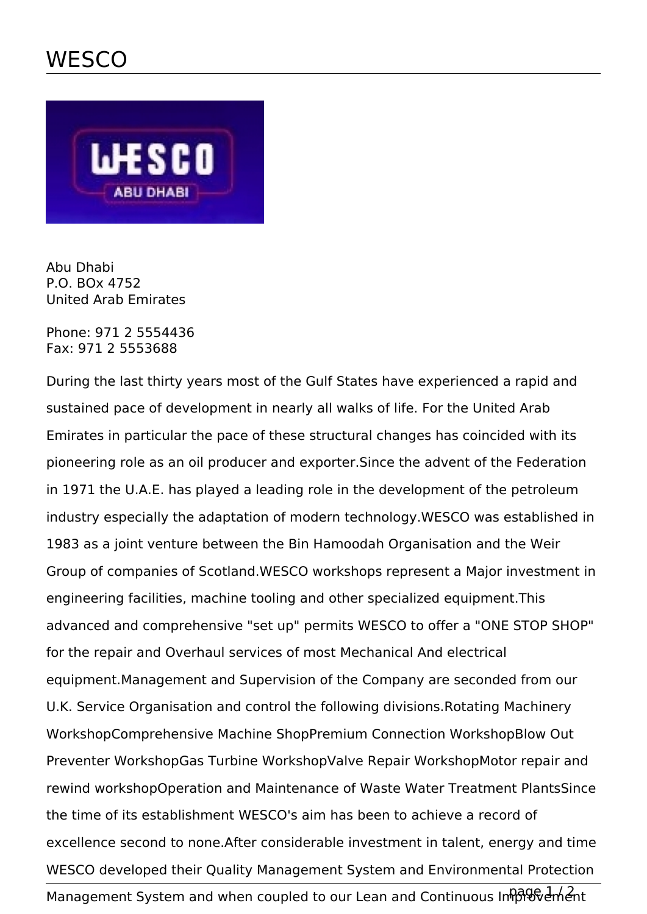

Abu Dhabi P.O. BOx 4752 United Arab Emirates

Phone: 971 2 5554436 Fax: 971 2 5553688

During the last thirty years most of the Gulf States have experienced a rapid and sustained pace of development in nearly all walks of life. For the United Arab Emirates in particular the pace of these structural changes has coincided with its pioneering role as an oil producer and exporter.Since the advent of the Federation in 1971 the U.A.E. has played a leading role in the development of the petroleum industry especially the adaptation of modern technology.WESCO was established in 1983 as a joint venture between the Bin Hamoodah Organisation and the Weir Group of companies of Scotland.WESCO workshops represent a Major investment in engineering facilities, machine tooling and other specialized equipment.This advanced and comprehensive "set up" permits WESCO to offer a "ONE STOP SHOP" for the repair and Overhaul services of most Mechanical And electrical equipment.Management and Supervision of the Company are seconded from our U.K. Service Organisation and control the following divisions.Rotating Machinery WorkshopComprehensive Machine ShopPremium Connection WorkshopBlow Out Preventer WorkshopGas Turbine WorkshopValve Repair WorkshopMotor repair and rewind workshopOperation and Maintenance of Waste Water Treatment PlantsSince the time of its establishment WESCO's aim has been to achieve a record of excellence second to none.After considerable investment in talent, energy and time WESCO developed their Quality Management System and Environmental Protection

Management System and when coupled to our Lean and Continuous Inhologienhent